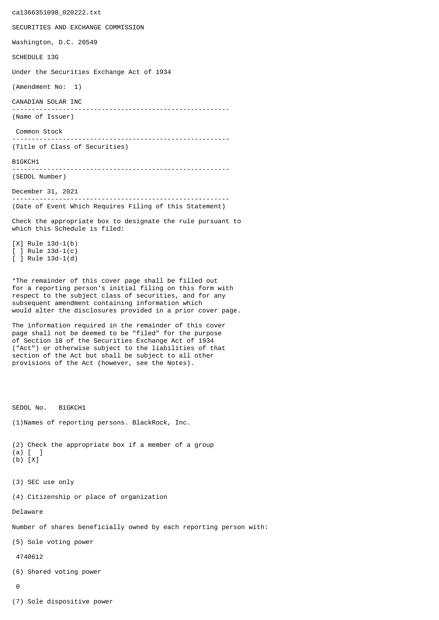ca1366351098\_020222.txt SECURITIES AND EXCHANGE COMMISSION Washington, D.C. 20549 SCHEDULE 13G Under the Securities Exchange Act of 1934 (Amendment No: 1) CANADIAN SOLAR INC -------------------------------------------------------- (Name of Issuer) Common Stock -------------------------------------------------------- (Title of Class of Securities) B1GKCH1 -------------------------------------------------------- (SEDOL Number) December 31, 2021 -------------------------------------------------------- (Date of Event Which Requires Filing of this Statement) Check the appropriate box to designate the rule pursuant to which this Schedule is filed: [X] Rule 13d-1(b) [ ] Rule 13d-1(c) [ ] Rule 13d-1(d) \*The remainder of this cover page shall be filled out for a reporting person's initial filing on this form with respect to the subject class of securities, and for any subsequent amendment containing information which would alter the disclosures provided in a prior cover page. The information required in the remainder of this cover page shall not be deemed to be "filed" for the purpose of Section 18 of the Securities Exchange Act of 1934 ("Act") or otherwise subject to the liabilities of that section of the Act but shall be subject to all other provisions of the Act (however, see the Notes). SEDOL No. B1GKCH1 (1)Names of reporting persons. BlackRock, Inc. (2) Check the appropriate box if a member of a group (a) [ ] (b) [X] (3) SEC use only (4) Citizenship or place of organization Delaware Number of shares beneficially owned by each reporting person with: (5) Sole voting power 4740612 (6) Shared voting power  $\Omega$ 

(7) Sole dispositive power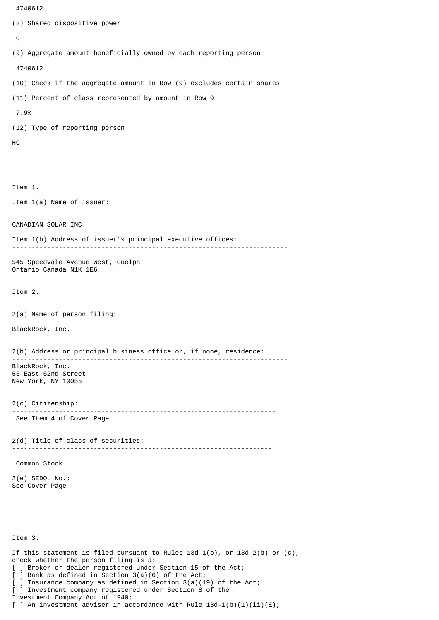```
 4740612
```

```
(8) Shared dispositive power
 \boldsymbol{\Theta}(9) Aggregate amount beneficially owned by each reporting person
  4740612
(10) Check if the aggregate amount in Row (9) excludes certain shares
(11) Percent of class represented by amount in Row 9
  7.9%
(12) Type of reporting person
HC
Item 1.
Item 1(a) Name of issuer:
           -----------------------------------------------------------------------
CANADIAN SOLAR INC
Item 1(b) Address of issuer's principal executive offices:
-----------------------------------------------------------------------
545 Speedvale Avenue West, Guelph
Ontario Canada N1K 1E6
Item 2.
2(a) Name of person filing:
              ----------------------------------------------------------------------
BlackRock, Inc.
2(b) Address or principal business office or, if none, residence:
 -----------------------------------------------------------------------
BlackRock, Inc.
55 East 52nd Street
New York, NY 10055
2(c) Citizenship:
                           --------------------------------------------------------------------
 See Item 4 of Cover Page
2(d) Title of class of securities:
                                      -------------------------------------------------------------------
 Common Stock
2(e) SEDOL No.:
See Cover Page
Item 3.
If this statement is filed pursuant to Rules 13d-1(b), or 13d-2(b) or (c),
check whether the person filing is a:
[ ] Broker or dealer registered under Section 15 of the Act;
[ ] Bank as defined in Section 3(a)(6) of the Act;
  ] Insurance company as defined in Section 3(a)(19) of the Act;
[ ] Investment company registered under Section 8 of the
Investment Company Act of 1940;
[ ] An investment adviser in accordance with Rule 13d-1(b)(1)(ii)(E);
```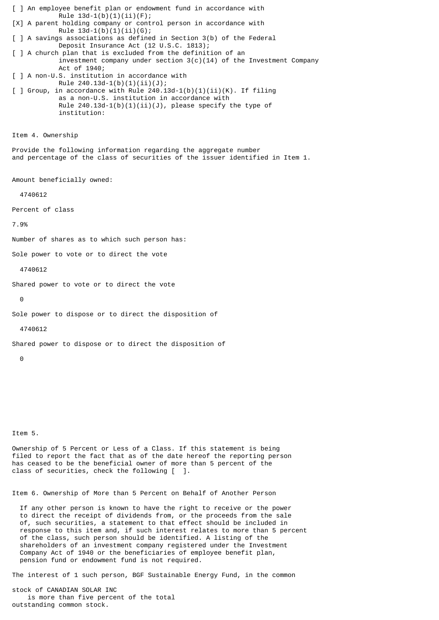[ ] An employee benefit plan or endowment fund in accordance with Rule  $13d-1(b)(1)(ii)(F);$ [X] A parent holding company or control person in accordance with Rule  $13d-1(b)(1)(ii)(G);$ [ ] A savings associations as defined in Section 3(b) of the Federal Deposit Insurance Act (12 U.S.C. 1813); [ ] A church plan that is excluded from the definition of an investment company under section  $3(c)(14)$  of the Investment Company Act of 1940; [ ] A non-U.S. institution in accordance with Rule 240.13d-1(b)(1)(ii)(J);  $\lceil$  ] Group, in accordance with Rule 240.13d-1(b)(1)(ii)(K). If filing as a non-U.S. institution in accordance with Rule  $240.13d-1(b)(1)(ii)(J)$ , please specify the type of institution: Item 4. Ownership Provide the following information regarding the aggregate number and percentage of the class of securities of the issuer identified in Item 1. Amount beneficially owned: 4740612 Percent of class 7.9% Number of shares as to which such person has: Sole power to vote or to direct the vote 4740612 Shared power to vote or to direct the vote  $\Theta$ Sole power to dispose or to direct the disposition of 4740612 Shared power to dispose or to direct the disposition of  $\Omega$ 

Item 5.

Ownership of 5 Percent or Less of a Class. If this statement is being filed to report the fact that as of the date hereof the reporting person has ceased to be the beneficial owner of more than 5 percent of the class of securities, check the following [ ].

Item 6. Ownership of More than 5 Percent on Behalf of Another Person

 If any other person is known to have the right to receive or the power to direct the receipt of dividends from, or the proceeds from the sale of, such securities, a statement to that effect should be included in response to this item and, if such interest relates to more than 5 percent of the class, such person should be identified. A listing of the shareholders of an investment company registered under the Investment Company Act of 1940 or the beneficiaries of employee benefit plan, pension fund or endowment fund is not required.

The interest of 1 such person, BGF Sustainable Energy Fund, in the common

stock of CANADIAN SOLAR INC is more than five percent of the total outstanding common stock.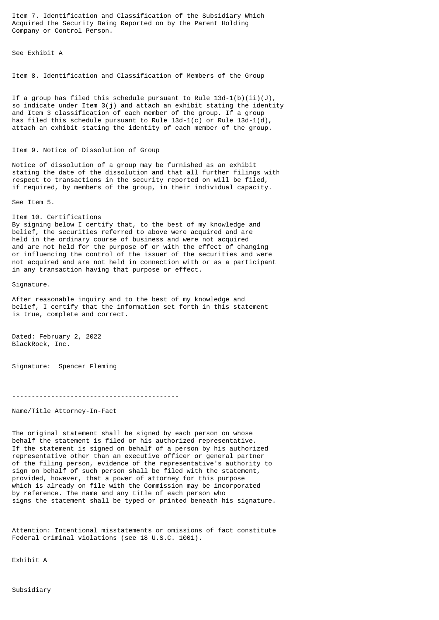Item 7. Identification and Classification of the Subsidiary Which Acquired the Security Being Reported on by the Parent Holding Company or Control Person.

## See Exhibit A

Item 8. Identification and Classification of Members of the Group

If a group has filed this schedule pursuant to Rule  $13d-1(b)(ii)(J)$ , so indicate under Item 3(j) and attach an exhibit stating the identity and Item 3 classification of each member of the group. If a group has filed this schedule pursuant to Rule 13d-1(c) or Rule 13d-1(d), attach an exhibit stating the identity of each member of the group.

## Item 9. Notice of Dissolution of Group

Notice of dissolution of a group may be furnished as an exhibit stating the date of the dissolution and that all further filings with respect to transactions in the security reported on will be filed, if required, by members of the group, in their individual capacity.

See Item 5.

Item 10. Certifications By signing below I certify that, to the best of my knowledge and belief, the securities referred to above were acquired and are held in the ordinary course of business and were not acquired and are not held for the purpose of or with the effect of changing or influencing the control of the issuer of the securities and were not acquired and are not held in connection with or as a participant in any transaction having that purpose or effect.

## Signature.

After reasonable inquiry and to the best of my knowledge and belief, I certify that the information set forth in this statement is true, complete and correct.

Dated: February 2, 2022 BlackRock, Inc.

Signature: Spencer Fleming

```
-------------------------------------------
```
Name/Title Attorney-In-Fact

The original statement shall be signed by each person on whose behalf the statement is filed or his authorized representative. If the statement is signed on behalf of a person by his authorized representative other than an executive officer or general partner of the filing person, evidence of the representative's authority to sign on behalf of such person shall be filed with the statement, provided, however, that a power of attorney for this purpose which is already on file with the Commission may be incorporated by reference. The name and any title of each person who signs the statement shall be typed or printed beneath his signature.

Attention: Intentional misstatements or omissions of fact constitute Federal criminal violations (see 18 U.S.C. 1001).

Exhibit A